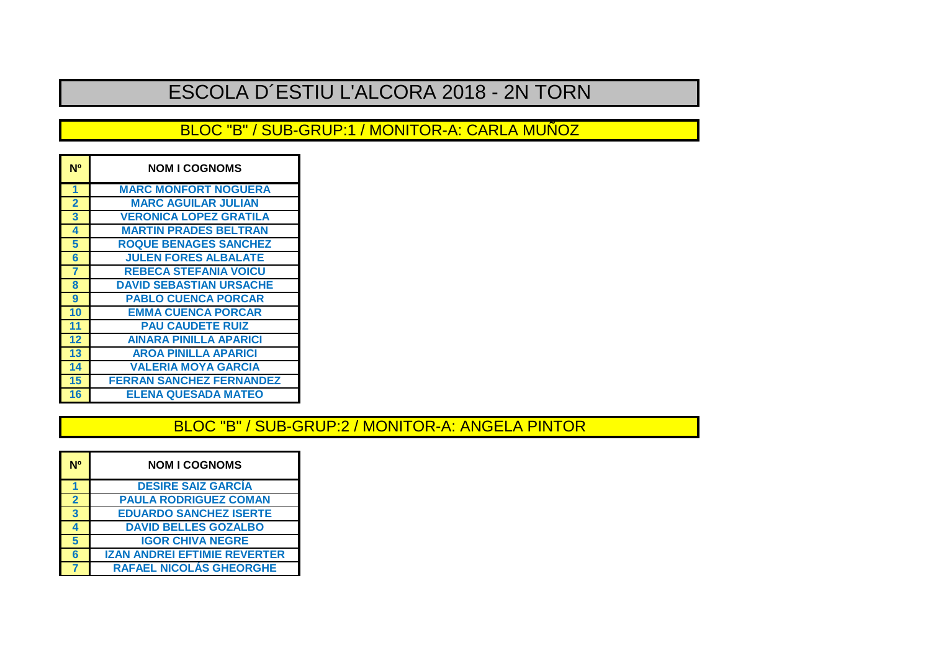# ESCOLA D´ESTIU L'ALCORA 2018 - 2N TORN

### BLOC "B" / SUB-GRUP:1 / MONITOR-A: CARLA MUÑOZ

| N <sup>o</sup> | <b>NOM I COGNOMS</b>            |
|----------------|---------------------------------|
| 1              | <b>MARC MONFORT NOGUERA</b>     |
| $\overline{2}$ | <b>MARC AGUILAR JULIAN</b>      |
| 3              | <b>VERONICA LOPEZ GRATILA</b>   |
| 4              | <b>MARTIN PRADES BELTRAN</b>    |
| 5              | <b>ROQUE BENAGES SANCHEZ</b>    |
| 6              | <b>JULEN FORES ALBALATE</b>     |
| $\overline{7}$ | <b>REBECA STEFANIA VOICU</b>    |
| 8              | <b>DAVID SEBASTIAN URSACHE</b>  |
| 9              | <b>PABLO CUENCA PORCAR</b>      |
| 10             | <b>EMMA CUENCA PORCAR</b>       |
| 11             | <b>PAU CAUDETE RUIZ</b>         |
| 12             | <b>AINARA PINILLA APARICI</b>   |
| 13             | <b>AROA PINILLA APARICI</b>     |
| 14             | <b>VALERIA MOYA GARCIA</b>      |
| 15             | <b>FERRAN SANCHEZ FERNANDEZ</b> |
| 16             | <b>ELENA QUESADA MATEO</b>      |

## BLOC "B" / SUB-GRUP:2 / MONITOR-A: ANGELA PINTOR

| <b>DESIRE SAIZ GARCIA</b><br><b>PAULA RODRIGUEZ COMAN</b><br>$\overline{2}$<br>$\overline{3}$<br><b>EDUARDO SANCHEZ ISERTE</b> |
|--------------------------------------------------------------------------------------------------------------------------------|
|                                                                                                                                |
|                                                                                                                                |
|                                                                                                                                |
| <b>DAVID BELLES GOZALBO</b><br>4                                                                                               |
| 5<br><b>IGOR CHIVA NEGRE</b>                                                                                                   |
| <b>IZAN ANDREI EFTIMIE REVERTER</b><br>6                                                                                       |
| <b>RAFAEL NICOLÁS GHEORGHE</b>                                                                                                 |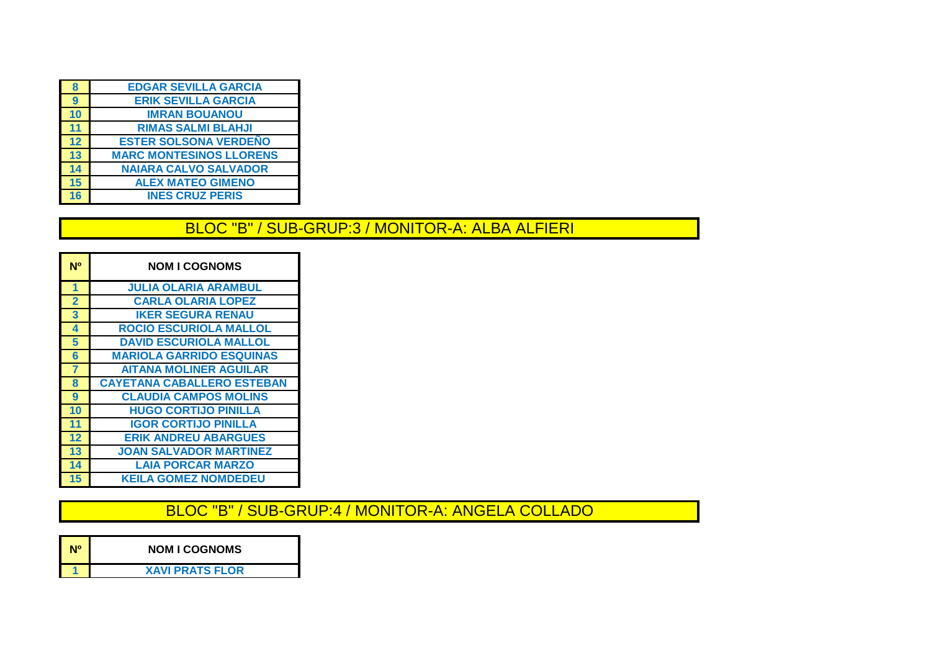| 8               | <b>EDGAR SEVILLA GARCIA</b>    |
|-----------------|--------------------------------|
| 9               | <b>ERIK SEVILLA GARCIA</b>     |
| 10              | <b>IMRAN BOUANOU</b>           |
| 11              | <b>RIMAS SALMI BLAHJI</b>      |
| $\overline{12}$ | <b>ESTER SOLSONA VERDENO</b>   |
| $\overline{13}$ | <b>MARC MONTESINOS LLORENS</b> |
| 14              | <b>NAIARA CALVO SALVADOR</b>   |
| 15              | <b>ALEX MATEO GIMENO</b>       |
| 16              | <b>INES CRUZ PERIS</b>         |
|                 |                                |

#### BLOC "B" / SUB-GRUP:3 / MONITOR-A: ALBA ALFIERI

| N <sup>o</sup> | <b>NOM I COGNOMS</b>              |
|----------------|-----------------------------------|
| 1              | <b>JULIA OLARIA ARAMBUL</b>       |
| $\overline{2}$ | <b>CARLA OLARIA LOPEZ</b>         |
| 3              | <b>IKER SEGURA RENAU</b>          |
| 4              | <b>ROCIO ESCURIOLA MALLOL</b>     |
| 5              | <b>DAVID ESCURIOLA MALLOL</b>     |
| 6              | <b>MARIOLA GARRIDO ESQUINAS</b>   |
| $\overline{7}$ | <b>AITANA MOLINER AGUILAR</b>     |
| 8              | <b>CAYETANA CABALLERO ESTEBAN</b> |
| 9              | <b>CLAUDIA CAMPOS MOLINS</b>      |
| 10             | <b>HUGO CORTIJO PINILLA</b>       |
| 11             | <b>IGOR CORTIJO PINILLA</b>       |
| 12             | <b>ERIK ANDREU ABARGUES</b>       |
| 13             | <b>JOAN SALVADOR MARTINEZ</b>     |
| 14             | <b>LAIA PORCAR MARZO</b>          |
| 15             | <b>KEILA GOMEZ NOMDEDEU</b>       |

BLOC "B" / SUB-GRUP:4 / MONITOR-A: ANGELA COLLADO

| N <sub>0</sub> | <b>NOM I COGNOMS</b>   |
|----------------|------------------------|
|                | <b>XAVI PRATS FLOR</b> |